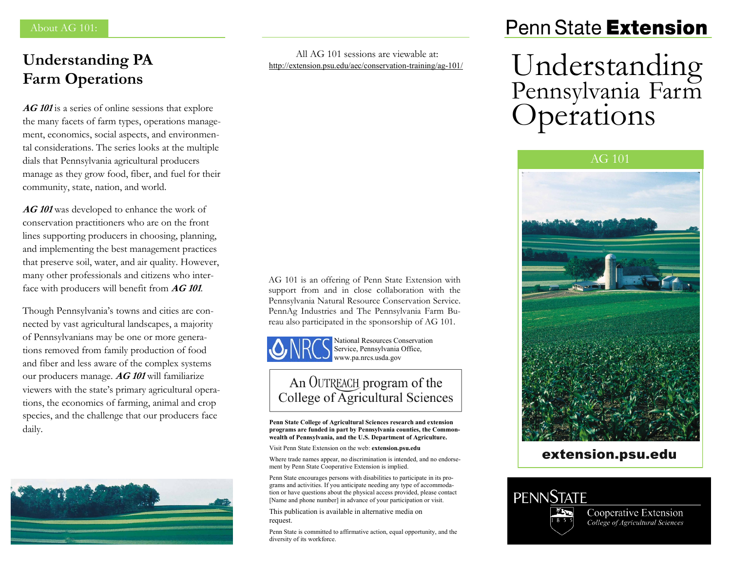# **Understanding PA Farm Operations**

**AG 101** is a series of online sessions that explore the many facets of farm types, operations management, economics, social aspects, and environmental considerations. The series looks at the multiple dials that Pennsylvania agricultural producers manage as they grow food, fiber, and fuel for their community, state, nation, and world.

**AG 101** was developed to enhance the work of conservation practitioners who are on the front lines supporting producers in choosing, planning, and implementing the best management practices that preserve soil, water, and air quality. However, many other professionals and citizens who interface with producers will benefit from **AG 101**.

Though Pennsylvania's towns and cities are connected by vast agricultural landscapes, a majority of Pennsylvanians may be one or more generations removed from family production of food and fiber and less aware of the complex systems our producers manage. **AG 101** will familiarize viewers with the state's primary agricultural operations, the economics of farming, animal and crop species, and the challenge that our producers face daily.



All AG 101 sessions are viewable at: [http://extension.psu.edu/aec/conservation](https://extension.psu.edu/aec/conservation-training/ag-101/)-training/ag-101/

# Penn State Extension

# Understanding Pennsylvania Farm **Operations**



### extension.psu.edu



Cooperative Extension College of Agricultural Sciences

AG 101 is an offering of Penn State Extension with support from and in close collaboration with the Pennsylvania Natural Resource Conservation Service. PennAg Industries and The Pennsylvania Farm Bureau also participated in the sponsorship of AG 101.



National Resources Conservation Service, Pennsylvania Office, www.pa.nrcs.usda.gov

## An OUTREACH program of the College of Agricultural Sciences

**Penn State College of Agricultural Sciences research and extension programs are funded in part by Pennsylvania counties, the Commonwealth of Pennsylvania, and the U.S. Department of Agriculture.**

Visit Penn State Extension on the web: **extension.psu.edu**

Where trade names appear, no discrimination is intended, and no endorsement by Penn State Cooperative Extension is implied.

Penn State encourages persons with disabilities to participate in its programs and activities. If you anticipate needing any type of accommodation or have questions about the physical access provided, please contact [Name and phone number] in advance of your participation or visit.

This publication is available in alternative media on request.

Penn State is committed to affirmative action, equal opportunity, and the diversity of its workforce.